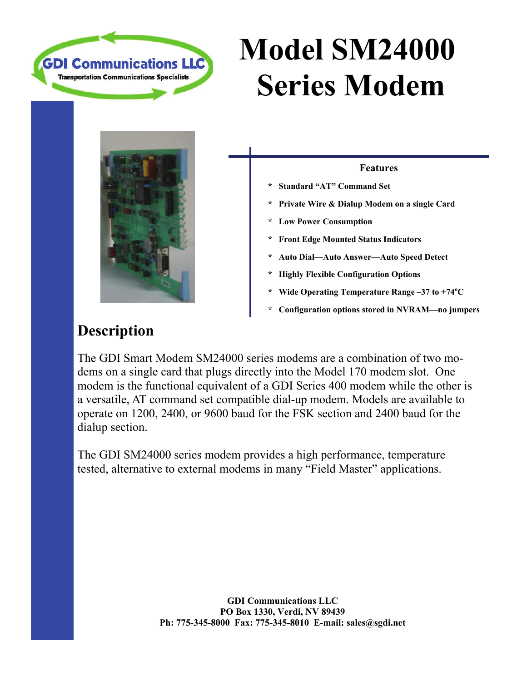

## **Model SM24000 Series Modem**



#### **Features**

- **\* Standard "AT" Command Set**
- **\* Private Wire & Dialup Modem on a single Card**
- **Low Power Consumption**
- **\* Front Edge Mounted Status Indicators**
- **\* Auto Dial—Auto Answer—Auto Speed Detect**
- **\* Highly Flexible Configuration Options**
- **\* Wide Operating Temperature Range –37 to +74<sup>o</sup> C**
- **\* Configuration options stored in NVRAM—no jumpers**

### **Description**

The GDI Smart Modem SM24000 series modems are a combination of two modems on a single card that plugs directly into the Model 170 modem slot. One modem is the functional equivalent of a GDI Series 400 modem while the other is a versatile, AT command set compatible dial-up modem. Models are available to operate on 1200, 2400, or 9600 baud for the FSK section and 2400 baud for the dialup section.

The GDI SM24000 series modem provides a high performance, temperature tested, alternative to external modems in many "Field Master" applications.

> **GDI Communications LLC PO Box 1330, Verdi, NV 89439 Ph: 775-345-8000 Fax: 775-345-8010 E-mail: sales@sgdi.net**